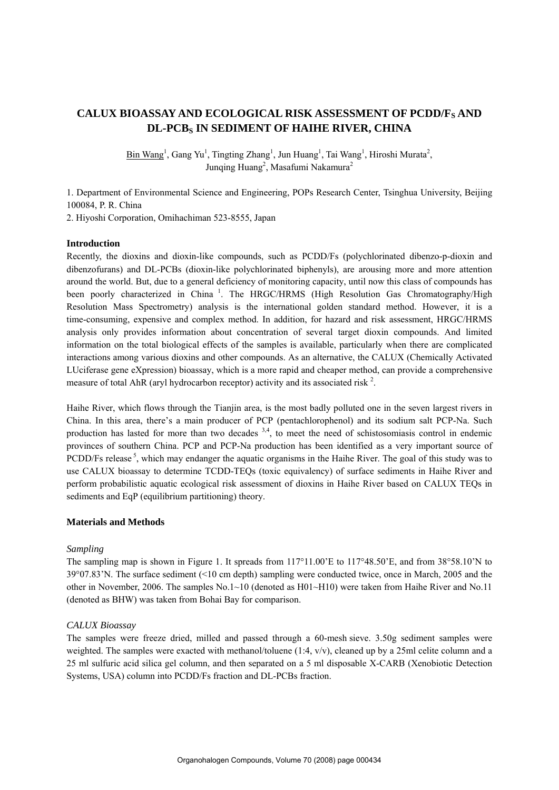# CALUX BIOASSAY AND ECOLOGICAL RISK ASSESSMENT OF PCDD/F<sub>S</sub> AND **DL-PCBS IN SEDIMENT OF HAIHE RIVER, CHINA**

 $\overline{\text{Bin Wang}}^1$ , Gang Yu<sup>1</sup>, Tingting Zhang<sup>1</sup>, Jun Huang<sup>1</sup>, Tai Wang<sup>1</sup>, Hiroshi Murata<sup>2</sup>, Junqing Huang<sup>2</sup>, Masafumi Nakamura<sup>2</sup>

1. Department of Environmental Science and Engineering, POPs Research Center, Tsinghua University, Beijing 100084, P. R. China

2. Hiyoshi Corporation, Omihachiman 523-8555, Japan

# **Introduction**

Recently, the dioxins and dioxin-like compounds, such as PCDD/Fs (polychlorinated dibenzo-p-dioxin and dibenzofurans) and DL-PCBs (dioxin-like polychlorinated biphenyls), are arousing more and more attention around the world. But, due to a general deficiency of monitoring capacity, until now this class of compounds has been poorly characterized in China<sup>1</sup>. The HRGC/HRMS (High Resolution Gas Chromatography/High Resolution Mass Spectrometry) analysis is the international golden standard method. However, it is a time-consuming, expensive and complex method. In addition, for hazard and risk assessment, HRGC/HRMS analysis only provides information about concentration of several target dioxin compounds. And limited information on the total biological effects of the samples is available, particularly when there are complicated interactions among various dioxins and other compounds. As an alternative, the CALUX (Chemically Activated LUciferase gene eXpression) bioassay, which is a more rapid and cheaper method, can provide a comprehensive measure of total AhR (aryl hydrocarbon receptor) activity and its associated risk  $^2$ .

Haihe River, which flows through the Tianjin area, is the most badly polluted one in the seven largest rivers in China. In this area, there's a main producer of PCP (pentachlorophenol) and its sodium salt PCP-Na. Such production has lasted for more than two decades  $3,4$ , to meet the need of schistosomiasis control in endemic provinces of southern China. PCP and PCP-Na production has been identified as a very important source of PCDD/Fs release  $5$ , which may endanger the aquatic organisms in the Haihe River. The goal of this study was to use CALUX bioassay to determine TCDD-TEQs (toxic equivalency) of surface sediments in Haihe River and perform probabilistic aquatic ecological risk assessment of dioxins in Haihe River based on CALUX TEQs in sediments and EqP (equilibrium partitioning) theory.

# **Materials and Methods**

## *Sampling*

The sampling map is shown in Figure 1. It spreads from 117°11.00'E to 117°48.50'E, and from 38°58.10'N to 39°07.83'N. The surface sediment (<10 cm depth) sampling were conducted twice, once in March, 2005 and the other in November, 2006. The samples No.1~10 (denoted as H01~H10) were taken from Haihe River and No.11 (denoted as BHW) was taken from Bohai Bay for comparison.

## *CALUX Bioassay*

The samples were freeze dried, milled and passed through a 60-mesh sieve. 3.50g sediment samples were weighted. The samples were exacted with methanol/toluene (1:4, v/v), cleaned up by a 25ml celite column and a 25 ml sulfuric acid silica gel column, and then separated on a 5 ml disposable X-CARB (Xenobiotic Detection Systems, USA) column into PCDD/Fs fraction and DL-PCBs fraction.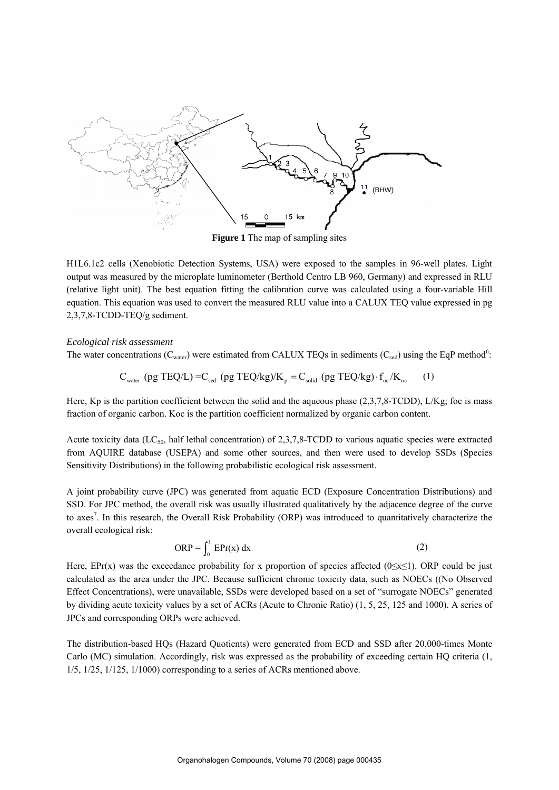

**Figure 1** The map of sampling sites

H1L6.1c2 cells (Xenobiotic Detection Systems, USA) were exposed to the samples in 96-well plates. Light output was measured by the microplate luminometer (Berthold Centro LB 960, Germany) and expressed in RLU (relative light unit). The best equation fitting the calibration curve was calculated using a four-variable Hill equation. This equation was used to convert the measured RLU value into a CALUX TEQ value expressed in pg 2,3,7,8-TCDD-TEQ/g sediment.

## *Ecological risk assessment*

The water concentrations ( $C_{water}$ ) were estimated from CALUX TEQs in sediments ( $C_{sed}$ ) using the EqP method<sup>6</sup>:

$$
C_{\text{water}} \text{ (pg TEQ/L)} = C_{\text{sed}} \text{ (pg TEQ/kg)/K}_p = C_{\text{solid}} \text{ (pg TEQ/kg)} \cdot f_{\text{oc}} / K_{\text{oc}} \tag{1}
$$

Here, Kp is the partition coefficient between the solid and the aqueous phase (2,3,7,8-TCDD), L/Kg; foc is mass fraction of organic carbon. Koc is the partition coefficient normalized by organic carbon content.

Acute toxicity data (LC<sub>50</sub>, half lethal concentration) of 2,3,7,8-TCDD to various aquatic species were extracted from AQUIRE database (USEPA) and some other sources, and then were used to develop SSDs (Species Sensitivity Distributions) in the following probabilistic ecological risk assessment.

A joint probability curve (JPC) was generated from aquatic ECD (Exposure Concentration Distributions) and SSD. For JPC method, the overall risk was usually illustrated qualitatively by the adjacence degree of the curve to axes<sup>7</sup>. In this research, the Overall Risk Probability (ORP) was introduced to quantitatively characterize the overall ecological risk:

$$
ORP = \int_0^1 \text{EPr}(\mathbf{x}) \, \text{d}\mathbf{x} \tag{2}
$$

Here, EPr(x) was the exceedance probability for x proportion of species affected (0≤x≤1). ORP could be just calculated as the area under the JPC. Because sufficient chronic toxicity data, such as NOECs ((No Observed Effect Concentrations), were unavailable, SSDs were developed based on a set of "surrogate NOECs" generated by dividing acute toxicity values by a set of ACRs (Acute to Chronic Ratio) (1, 5, 25, 125 and 1000). A series of JPCs and corresponding ORPs were achieved.

The distribution-based HQs (Hazard Quotients) were generated from ECD and SSD after 20,000-times Monte Carlo (MC) simulation. Accordingly, risk was expressed as the probability of exceeding certain HQ criteria (1, 1/5, 1/25, 1/125, 1/1000) corresponding to a series of ACRs mentioned above.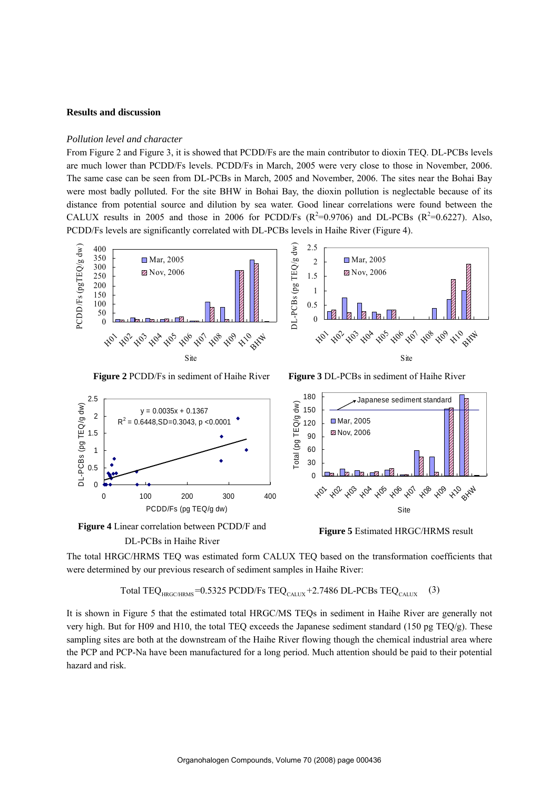## **Results and discussion**

# *Pollution level and character*

From Figure 2 and Figure 3, it is showed that PCDD/Fs are the main contributor to dioxin TEQ. DL-PCBs levels are much lower than PCDD/Fs levels. PCDD/Fs in March, 2005 were very close to those in November, 2006. The same case can be seen from DL-PCBs in March, 2005 and November, 2006. The sites near the Bohai Bay were most badly polluted. For the site BHW in Bohai Bay, the dioxin pollution is neglectable because of its distance from potential source and dilution by sea water. Good linear correlations were found between the CALUX results in 2005 and those in 2006 for PCDD/Fs  $(R^2=0.9706)$  and DL-PCBs  $(R^2=0.6227)$ . Also, PCDD/Fs levels are significantly correlated with DL-PCBs levels in Haihe River (Figure 4).



**Figure 2** PCDD/Fs in sediment of Haihe River **Figure 3** DL-PCBs in sediment of Haihe River







The total HRGC/HRMS TEQ was estimated form CALUX TEQ based on the transformation coefficients that were determined by our previous research of sediment samples in Haihe River:

Total TEQ<sub>HRGC/HRMS</sub> =  $0.5325$  PCDD/Fs TEQ<sub>CALUX</sub> + 2.7486 DL-PCBs TEQ<sub>CALUX</sub> (3)

It is shown in Figure 5 that the estimated total HRGC/MS TEQs in sediment in Haihe River are generally not very high. But for H09 and H10, the total TEQ exceeds the Japanese sediment standard (150 pg TEQ/g). These sampling sites are both at the downstream of the Haihe River flowing though the chemical industrial area where the PCP and PCP-Na have been manufactured for a long period. Much attention should be paid to their potential hazard and risk.